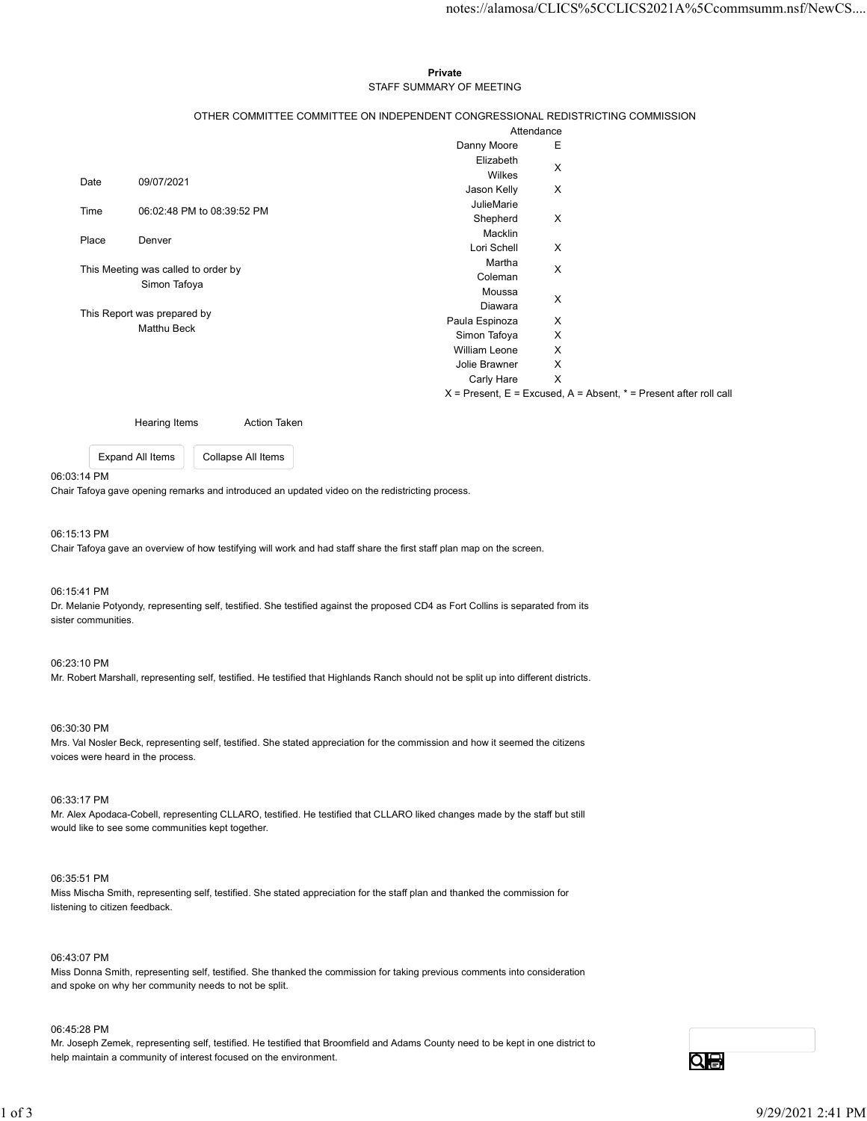#### Private **Private** and *Private* and *Private* and *Private* and *Private* and *Private* and *Private* and *Private* and *Private* and *Private* and *Private* and *Private* and *Private* and *Private* and *Private* and *Pri* STAFF SUMMARY OF MEETING

|                                        |                                                                                                                                         | notes://alamosa/CLICS%5CCLICS2021A%5Ccommsumm.nsf/NewCS                                                                                                                                                                                          |
|----------------------------------------|-----------------------------------------------------------------------------------------------------------------------------------------|--------------------------------------------------------------------------------------------------------------------------------------------------------------------------------------------------------------------------------------------------|
|                                        |                                                                                                                                         |                                                                                                                                                                                                                                                  |
|                                        |                                                                                                                                         |                                                                                                                                                                                                                                                  |
|                                        |                                                                                                                                         |                                                                                                                                                                                                                                                  |
|                                        | Private                                                                                                                                 |                                                                                                                                                                                                                                                  |
|                                        |                                                                                                                                         |                                                                                                                                                                                                                                                  |
|                                        |                                                                                                                                         |                                                                                                                                                                                                                                                  |
|                                        |                                                                                                                                         |                                                                                                                                                                                                                                                  |
|                                        |                                                                                                                                         | Е                                                                                                                                                                                                                                                |
|                                        |                                                                                                                                         |                                                                                                                                                                                                                                                  |
|                                        | Wilkes                                                                                                                                  | $\boldsymbol{\mathsf{X}}$                                                                                                                                                                                                                        |
|                                        | Jason Kelly                                                                                                                             | X                                                                                                                                                                                                                                                |
|                                        | JulieMarie                                                                                                                              |                                                                                                                                                                                                                                                  |
|                                        | Shepherd                                                                                                                                | $\boldsymbol{\mathsf{X}}$                                                                                                                                                                                                                        |
|                                        | Macklin                                                                                                                                 |                                                                                                                                                                                                                                                  |
|                                        |                                                                                                                                         | X                                                                                                                                                                                                                                                |
|                                        |                                                                                                                                         | $\boldsymbol{\mathsf{X}}$                                                                                                                                                                                                                        |
| Simon Tafoya                           |                                                                                                                                         |                                                                                                                                                                                                                                                  |
|                                        |                                                                                                                                         | X                                                                                                                                                                                                                                                |
|                                        |                                                                                                                                         | X                                                                                                                                                                                                                                                |
|                                        |                                                                                                                                         | X                                                                                                                                                                                                                                                |
|                                        | William Leone                                                                                                                           | X                                                                                                                                                                                                                                                |
|                                        | Jolie Brawner                                                                                                                           | X                                                                                                                                                                                                                                                |
|                                        | Carly Hare X                                                                                                                            |                                                                                                                                                                                                                                                  |
|                                        |                                                                                                                                         | $X =$ Present, $E =$ Excused, $A =$ Absent, $* =$ Present after roll call                                                                                                                                                                        |
|                                        |                                                                                                                                         |                                                                                                                                                                                                                                                  |
| Hearing Items<br><b>Action Taken</b>   |                                                                                                                                         |                                                                                                                                                                                                                                                  |
|                                        |                                                                                                                                         |                                                                                                                                                                                                                                                  |
|                                        |                                                                                                                                         |                                                                                                                                                                                                                                                  |
| Expand All Items<br>Collapse All Items |                                                                                                                                         |                                                                                                                                                                                                                                                  |
|                                        | 09/07/2021<br>06:02:48 PM to 08:39:52 PM<br>Denver<br>This Meeting was called to order by<br>This Report was prepared by<br>Matthu Beck | STAFF SUMMARY OF MEETING<br>OTHER COMMITTEE COMMITTEE ON INDEPENDENT CONGRESSIONAL REDISTRICTING COMMISSION<br>Attendance<br>Danny Moore<br>Elizabeth<br>Lori Schell<br>Martha<br>Coleman<br>Moussa<br>Diawara<br>Paula Espinoza<br>Simon Tafoya |

#### 06:03:14 PM

#### 06:15:13 PM

Chair Tafoya gave an overview of how testifying will work and had staff share the first staff plan map on the screen.

#### 06:15:41 PM

Dr. Melanie Potyondy, representing self, testified. She testified against the proposed CD4 as Fort Collins is separated from its sister communities.

## 06:23:10 PM

Mr. Robert Marshall, representing self, testified. He testified that Highlands Ranch should not be split up into different districts.

#### 06:30:30 PM

Mrs. Val Nosler Beck, representing self, testified. She stated appreciation for the commission and how it seemed the citizens voices were heard in the process.

#### 06:33:17 PM

Mr. Alex Apodaca-Cobell, representing CLLARO, testified. He testified that CLLARO liked changes made by the staff but still would like to see some communities kept together.

## 06:35:51 PM

Miss Mischa Smith, representing self, testified. She stated appreciation for the staff plan and thanked the commission for listening to citizen feedback.

#### 06:43:07 PM

Miss Donna Smith, representing self, testified. She thanked the commission for taking previous comments into consideration and spoke on why her community needs to not be split.

#### 06:45:28 PM

Mr. Joseph Zemek, representing self, testified. He testified that Broomfield and Adams County need to be kept in one district to help maintain a community of interest focused on the environment. 1 of 3 9/2020 2:41 PM<br>
1 of 3 9/29/2021 2:41 PM<br>
1 of 3 9/29/2021 2:41 PM<br>
1 of Associate Cobel, representing CLLARO, bestified. He feelthed that CLLARO liked changes made by the staff but still<br>
1 of 3 9/29/2021 and the b

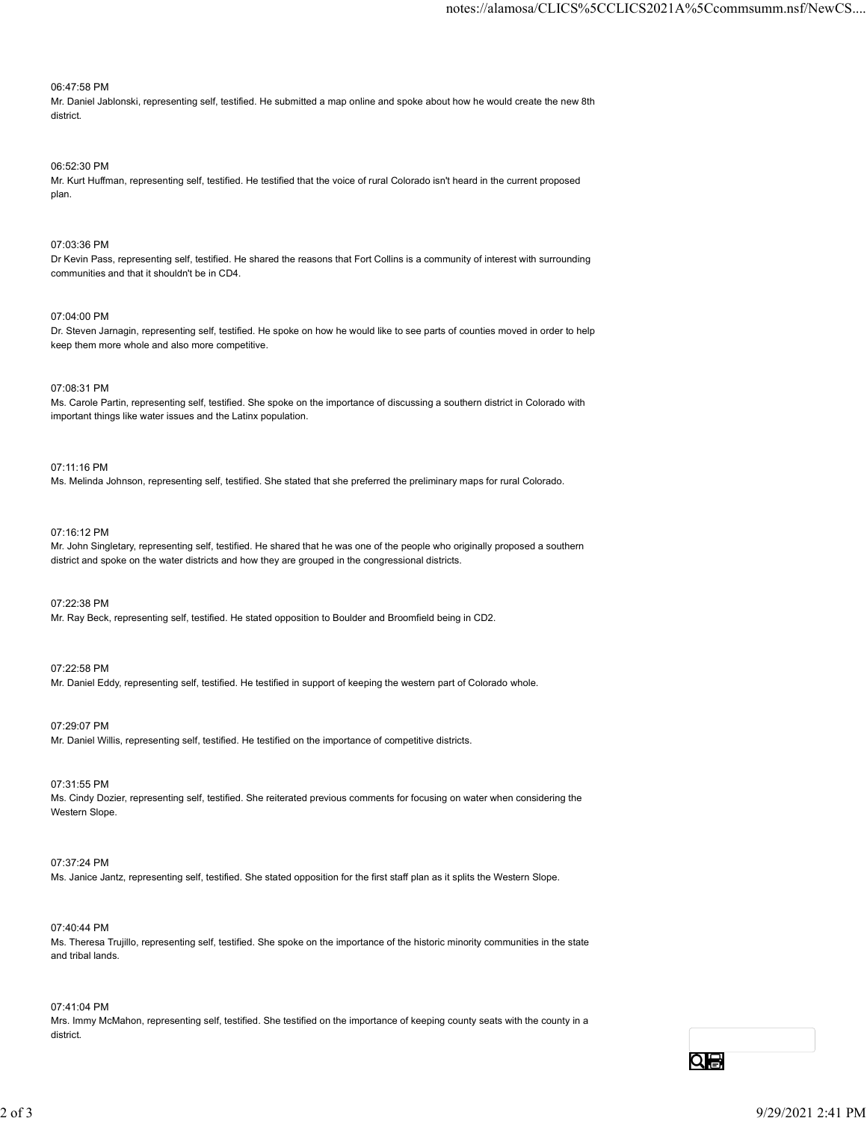## 06:47:58 PM

Mr. Daniel Jablonski, representing self, testified. He submitted a map online and spoke about how he would create the new 8th district.

# 06:52:30 PM

Mr. Kurt Huffman, representing self, testified. He testified that the voice of rural Colorado isn't heard in the current proposed plan.

#### 07:03:36 PM

Dr Kevin Pass, representing self, testified. He shared the reasons that Fort Collins is a community of interest with surrounding communities and that it shouldn't be in CD4.

## 07:04:00 PM

Dr. Steven Jarnagin, representing self, testified. He spoke on how he would like to see parts of counties moved in order to help keep them more whole and also more competitive.

## 07:08:31 PM

Ms. Carole Partin, representing self, testified. She spoke on the importance of discussing a southern district in Colorado with important things like water issues and the Latinx population.

## 07:11:16 PM

Ms. Melinda Johnson, representing self, testified. She stated that she preferred the preliminary maps for rural Colorado.

#### 07:16:12 PM

Mr. John Singletary, representing self, testified. He shared that he was one of the people who originally proposed a southern district and spoke on the water districts and how they are grouped in the congressional districts.

#### 07:22:38 PM

Mr. Ray Beck, representing self, testified. He stated opposition to Boulder and Broomfield being in CD2.

#### 07:22:58 PM

Mr. Daniel Eddy, representing self, testified. He testified in support of keeping the western part of Colorado whole.

### 07:29:07 PM

Mr. Daniel Willis, representing self, testified. He testified on the importance of competitive districts.

### 07:31:55 PM

Ms. Cindy Dozier, representing self, testified. She reiterated previous comments for focusing on water when considering the Western Slope. 07.31.55 PM<br>Ms. Cincly Dozer, representing set(, testified. She related provious comments for focusing on water when considering the<br>Ms. Cincly Dozer, representing set(, testified. She stated opposition for the first staff

#### 07:37:24 PM

Ms. Janice Jantz, representing self, testified. She stated opposition for the first staff plan as it splits the Western Slope.

#### 07:40:44 PM

Ms. Theresa Trujillo, representing self, testified. She spoke on the importance of the historic minority communities in the state and tribal lands.

#### 07:41:04 PM

Mrs. Immy McMahon, representing self, testified. She testified on the importance of keeping county seats with the county in a district.